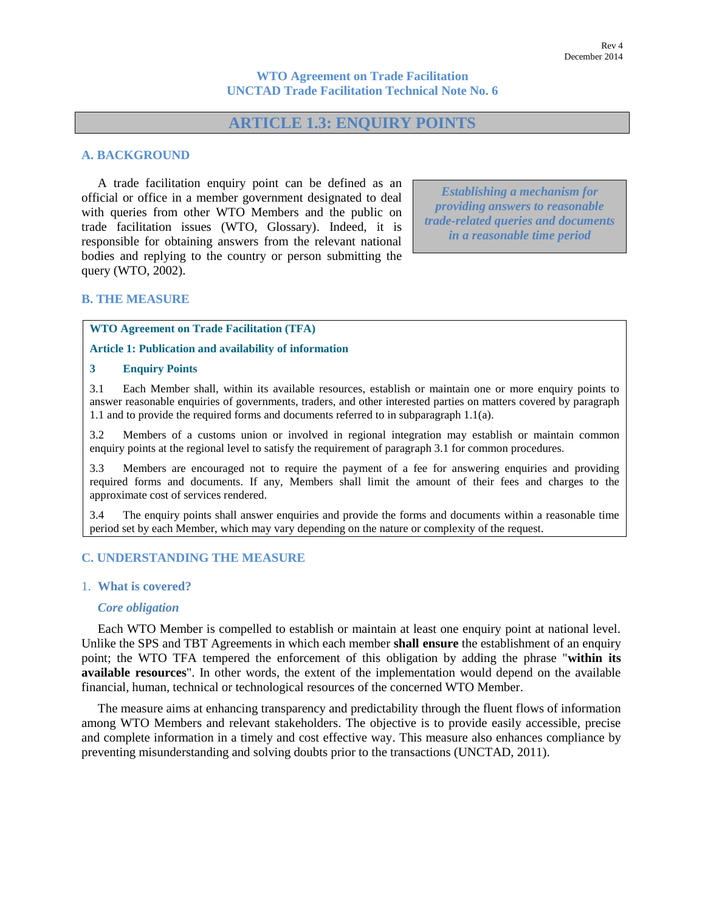## **WTO Agreement on Trade Facilitation UNCTAD Trade Facilitation Technical Note No. 6**

# **ARTICLE 1.3: ENQUIRY POINTS**

## **A. BACKGROUND**

A trade facilitation enquiry point can be defined as an official or office in a member government designated to deal with queries from other WTO Members and the public on trade facilitation issues (WTO, Glossary). Indeed, it is responsible for obtaining answers from the relevant national bodies and replying to the country or person submitting the query (WTO, 2002).

*Establishing a mechanism for providing answers to reasonable trade-related queries and documents in a reasonable time period*

## **B. THE MEASURE**

**WTO Agreement on Trade Facilitation (TFA)** 

**Article 1: Publication and availability of information** 

#### **3 Enquiry Points**

3.1 Each Member shall, within its available resources, establish or maintain one or more enquiry points to answer reasonable enquiries of governments, traders, and other interested parties on matters covered by paragraph 1.1 and to provide the required forms and documents referred to in subparagraph 1.1(a).

3.2 Members of a customs union or involved in regional integration may establish or maintain common enquiry points at the regional level to satisfy the requirement of paragraph 3.1 for common procedures.

3.3 Members are encouraged not to require the payment of a fee for answering enquiries and providing required forms and documents. If any, Members shall limit the amount of their fees and charges to the approximate cost of services rendered.

3.4 The enquiry points shall answer enquiries and provide the forms and documents within a reasonable time period set by each Member, which may vary depending on the nature or complexity of the request.

## **C. UNDERSTANDING THE MEASURE**

### 1. **What is covered?**

### *Core obligation*

Each WTO Member is compelled to establish or maintain at least one enquiry point at national level. Unlike the SPS and TBT Agreements in which each member **shall ensure** the establishment of an enquiry point; the WTO TFA tempered the enforcement of this obligation by adding the phrase "**within its available resources**". In other words, the extent of the implementation would depend on the available financial, human, technical or technological resources of the concerned WTO Member.

The measure aims at enhancing transparency and predictability through the fluent flows of information among WTO Members and relevant stakeholders. The objective is to provide easily accessible, precise and complete information in a timely and cost effective way. This measure also enhances compliance by preventing misunderstanding and solving doubts prior to the transactions (UNCTAD, 2011).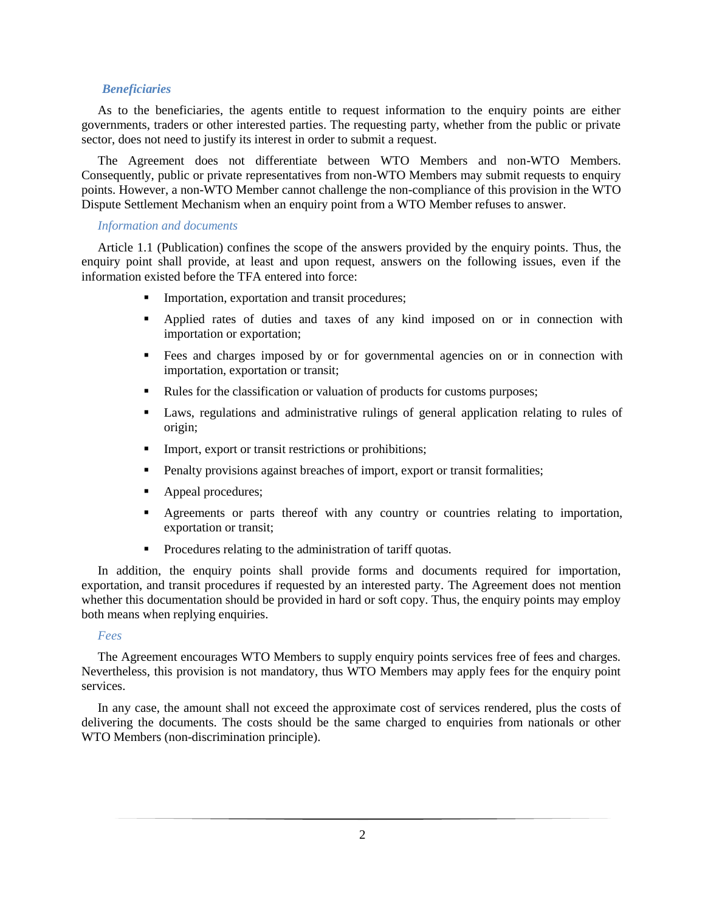## *Beneficiaries*

As to the beneficiaries, the agents entitle to request information to the enquiry points are either governments, traders or other interested parties. The requesting party, whether from the public or private sector, does not need to justify its interest in order to submit a request.

The Agreement does not differentiate between WTO Members and non-WTO Members. Consequently, public or private representatives from non-WTO Members may submit requests to enquiry points. However, a non-WTO Member cannot challenge the non-compliance of this provision in the WTO Dispute Settlement Mechanism when an enquiry point from a WTO Member refuses to answer.

#### *Information and documents*

Article 1.1 (Publication) confines the scope of the answers provided by the enquiry points. Thus, the enquiry point shall provide, at least and upon request, answers on the following issues, even if the information existed before the TFA entered into force:

- **Importation, exportation and transit procedures;**
- Applied rates of duties and taxes of any kind imposed on or in connection with importation or exportation;
- Fees and charges imposed by or for governmental agencies on or in connection with importation, exportation or transit;
- Rules for the classification or valuation of products for customs purposes;
- Laws, regulations and administrative rulings of general application relating to rules of origin;
- **Import, export or transit restrictions or prohibitions;**
- Penalty provisions against breaches of import, export or transit formalities;
- Appeal procedures;
- Agreements or parts thereof with any country or countries relating to importation, exportation or transit;
- **Procedures relating to the administration of tariff quotas.**

In addition, the enquiry points shall provide forms and documents required for importation, exportation, and transit procedures if requested by an interested party. The Agreement does not mention whether this documentation should be provided in hard or soft copy. Thus, the enquiry points may employ both means when replying enquiries.

### *Fees*

The Agreement encourages WTO Members to supply enquiry points services free of fees and charges. Nevertheless, this provision is not mandatory, thus WTO Members may apply fees for the enquiry point services.

In any case, the amount shall not exceed the approximate cost of services rendered, plus the costs of delivering the documents. The costs should be the same charged to enquiries from nationals or other WTO Members (non-discrimination principle).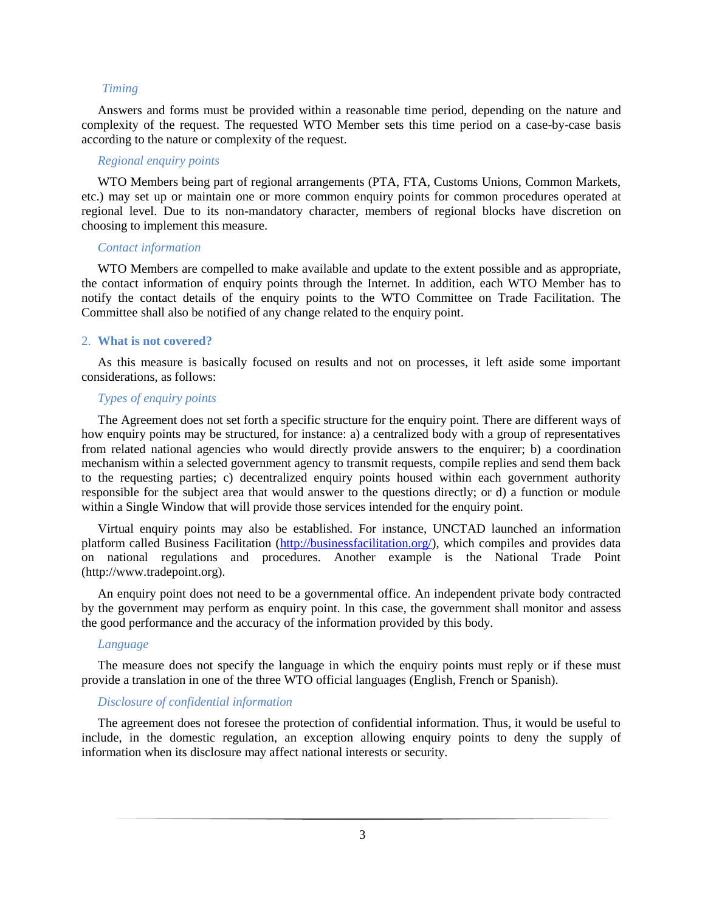## *Timing*

Answers and forms must be provided within a reasonable time period, depending on the nature and complexity of the request. The requested WTO Member sets this time period on a case-by-case basis according to the nature or complexity of the request.

### *Regional enquiry points*

WTO Members being part of regional arrangements (PTA, FTA, Customs Unions, Common Markets, etc.) may set up or maintain one or more common enquiry points for common procedures operated at regional level. Due to its non-mandatory character, members of regional blocks have discretion on choosing to implement this measure.

#### *Contact information*

WTO Members are compelled to make available and update to the extent possible and as appropriate, the contact information of enquiry points through the Internet. In addition, each WTO Member has to notify the contact details of the enquiry points to the WTO Committee on Trade Facilitation. The Committee shall also be notified of any change related to the enquiry point.

### 2. **What is not covered?**

As this measure is basically focused on results and not on processes, it left aside some important considerations, as follows:

### *Types of enquiry points*

The Agreement does not set forth a specific structure for the enquiry point. There are different ways of how enquiry points may be structured, for instance: a) a centralized body with a group of representatives from related national agencies who would directly provide answers to the enquirer; b) a coordination mechanism within a selected government agency to transmit requests, compile replies and send them back to the requesting parties; c) decentralized enquiry points housed within each government authority responsible for the subject area that would answer to the questions directly; or d) a function or module within a Single Window that will provide those services intended for the enquiry point.

Virtual enquiry points may also be established. For instance, UNCTAD launched an information platform called Business Facilitation [\(http://businessfacilitation.org/\)](http://businessfacilitation.org/), which compiles and provides data on national regulations and procedures. Another example is the National Trade Point [\(http://www.tradepoint.org\)](http://www.tradepoint.org/).

An enquiry point does not need to be a governmental office. An independent private body contracted by the government may perform as enquiry point. In this case, the government shall monitor and assess the good performance and the accuracy of the information provided by this body.

### *Language*

The measure does not specify the language in which the enquiry points must reply or if these must provide a translation in one of the three WTO official languages (English, French or Spanish).

#### *Disclosure of confidential information*

The agreement does not foresee the protection of confidential information. Thus, it would be useful to include, in the domestic regulation, an exception allowing enquiry points to deny the supply of information when its disclosure may affect national interests or security.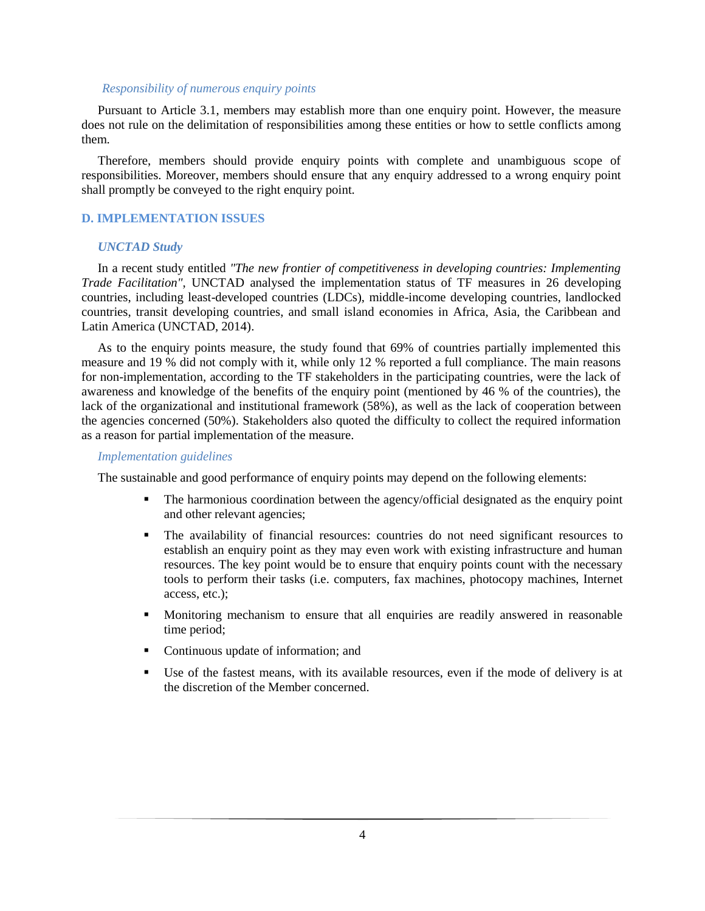#### *Responsibility of numerous enquiry points*

Pursuant to Article 3.1, members may establish more than one enquiry point. However, the measure does not rule on the delimitation of responsibilities among these entities or how to settle conflicts among them.

Therefore, members should provide enquiry points with complete and unambiguous scope of responsibilities. Moreover, members should ensure that any enquiry addressed to a wrong enquiry point shall promptly be conveyed to the right enquiry point.

## **D. IMPLEMENTATION ISSUES**

#### *UNCTAD Study*

In a recent study entitled *"The new frontier of competitiveness in developing countries: Implementing Trade Facilitation"*, UNCTAD analysed the implementation status of TF measures in 26 developing countries, including least-developed countries (LDCs), middle-income developing countries, landlocked countries, transit developing countries, and small island economies in Africa, Asia, the Caribbean and Latin America (UNCTAD, 2014).

As to the enquiry points measure, the study found that 69% of countries partially implemented this measure and 19 % did not comply with it, while only 12 % reported a full compliance. The main reasons for non-implementation, according to the TF stakeholders in the participating countries, were the lack of awareness and knowledge of the benefits of the enquiry point (mentioned by 46 % of the countries), the lack of the organizational and institutional framework (58%), as well as the lack of cooperation between the agencies concerned (50%). Stakeholders also quoted the difficulty to collect the required information as a reason for partial implementation of the measure.

## *Implementation guidelines*

The sustainable and good performance of enquiry points may depend on the following elements:

- The harmonious coordination between the agency/official designated as the enquiry point and other relevant agencies;
- The availability of financial resources: countries do not need significant resources to establish an enquiry point as they may even work with existing infrastructure and human resources. The key point would be to ensure that enquiry points count with the necessary tools to perform their tasks (i.e. computers, fax machines, photocopy machines, Internet access, etc.);
- Monitoring mechanism to ensure that all enquiries are readily answered in reasonable time period;
- Continuous update of information; and
- Use of the fastest means, with its available resources, even if the mode of delivery is at the discretion of the Member concerned.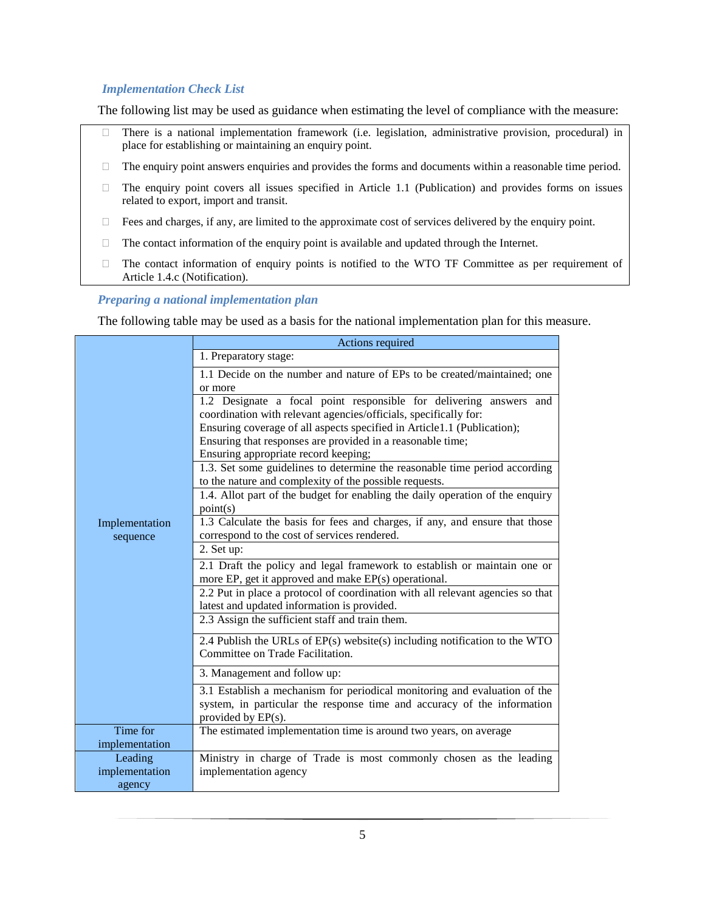## *Implementation Check List*

The following list may be used as guidance when estimating the level of compliance with the measure:

- There is a national implementation framework (i.e. legislation, administrative provision, procedural) in place for establishing or maintaining an enquiry point.
- $\Box$  The enquiry point answers enquiries and provides the forms and documents within a reasonable time period.
- $\Box$  The enquiry point covers all issues specified in Article 1.1 (Publication) and provides forms on issues related to export, import and transit.
- $\Box$  Fees and charges, if any, are limited to the approximate cost of services delivered by the enquiry point.
- $\Box$  The contact information of the enquiry point is available and updated through the Internet.
- $\Box$  The contact information of enquiry points is notified to the WTO TF Committee as per requirement of Article 1.4.c (Notification).

#### *Preparing a national implementation plan*

The following table may be used as a basis for the national implementation plan for this measure.

| Implementation<br>sequence | Actions required                                                                                                                                                                                                                                                                                                        |
|----------------------------|-------------------------------------------------------------------------------------------------------------------------------------------------------------------------------------------------------------------------------------------------------------------------------------------------------------------------|
|                            | 1. Preparatory stage:                                                                                                                                                                                                                                                                                                   |
|                            | 1.1 Decide on the number and nature of EPs to be created/maintained; one<br>or more                                                                                                                                                                                                                                     |
|                            | 1.2 Designate a focal point responsible for delivering answers and<br>coordination with relevant agencies/officials, specifically for:<br>Ensuring coverage of all aspects specified in Article1.1 (Publication);<br>Ensuring that responses are provided in a reasonable time;<br>Ensuring appropriate record keeping; |
|                            | 1.3. Set some guidelines to determine the reasonable time period according<br>to the nature and complexity of the possible requests.                                                                                                                                                                                    |
|                            | 1.4. Allot part of the budget for enabling the daily operation of the enquiry<br>point(s)                                                                                                                                                                                                                               |
|                            | 1.3 Calculate the basis for fees and charges, if any, and ensure that those                                                                                                                                                                                                                                             |
|                            | correspond to the cost of services rendered.<br>2. Set up:                                                                                                                                                                                                                                                              |
|                            | 2.1 Draft the policy and legal framework to establish or maintain one or<br>more EP, get it approved and make EP(s) operational.                                                                                                                                                                                        |
|                            | 2.2 Put in place a protocol of coordination with all relevant agencies so that<br>latest and updated information is provided.                                                                                                                                                                                           |
|                            | 2.3 Assign the sufficient staff and train them.                                                                                                                                                                                                                                                                         |
|                            | 2.4 Publish the URLs of EP(s) website(s) including notification to the WTO<br>Committee on Trade Facilitation.                                                                                                                                                                                                          |
|                            | 3. Management and follow up:                                                                                                                                                                                                                                                                                            |
|                            | 3.1 Establish a mechanism for periodical monitoring and evaluation of the<br>system, in particular the response time and accuracy of the information<br>provided by $EP(s)$ .                                                                                                                                           |
| Time for                   | The estimated implementation time is around two years, on average                                                                                                                                                                                                                                                       |
| implementation             |                                                                                                                                                                                                                                                                                                                         |
| Leading<br>implementation  | Ministry in charge of Trade is most commonly chosen as the leading<br>implementation agency                                                                                                                                                                                                                             |
| agency                     |                                                                                                                                                                                                                                                                                                                         |
|                            |                                                                                                                                                                                                                                                                                                                         |